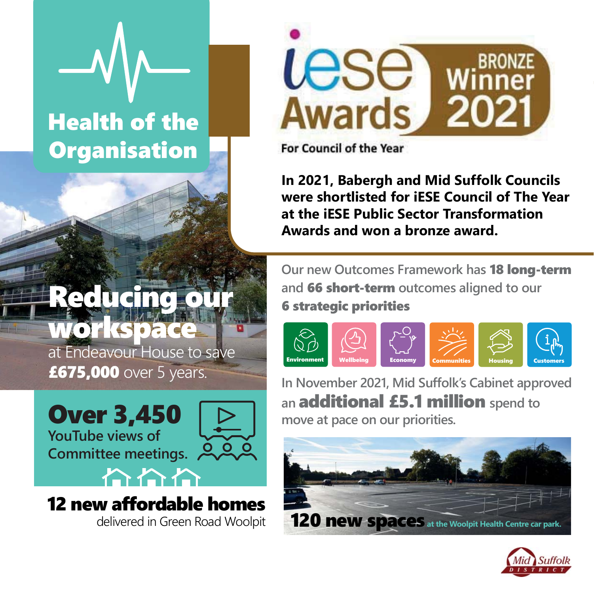# Health of the **Organisation**



For Council of the Year

**In 2021, Babergh and Mid Suffolk Councils were shortlisted for iESE Council of The Year at the iESE Public Sector Transformation Awards and won a bronze award.**

# Reducing o workspace

at Endeavour House to save **£675,000** over 5 years.



12 new affordable homes delivered in Green Road Woolpit **Our new Outcomes Framework has** 18 long-term **and** 66 short-term **outcomes aligned to our**  6 strategic priorities



**In November 2021, Mid Suffolk's Cabinet approved an** additional £5.1 million **spend to move at pace on our priorities.**



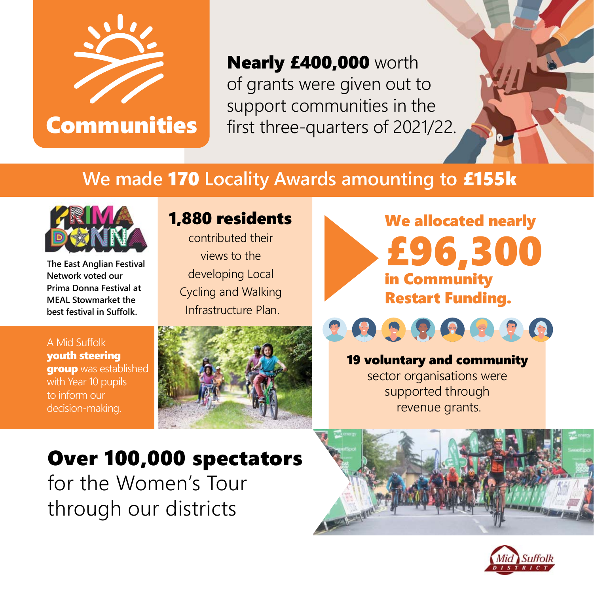

Communities

Nearly £400,000 worth of grants were given out to support communities in the first three-quarters of 2021/22.

#### **We made** 170 **Locality Awards amounting to** £155k



**The East Anglian Festival Network voted our Prima Donna Festival at MEAL Stowmarket the best festival in Suffolk.** 

#### 1,880 residents

contributed their views to the developing Local Cycling and Walking Infrastructure Plan.









#### 19 voluntary and community sector organisations were supported through revenue grants.

### Over 100,000 spectators for the Women's Tour through our districts



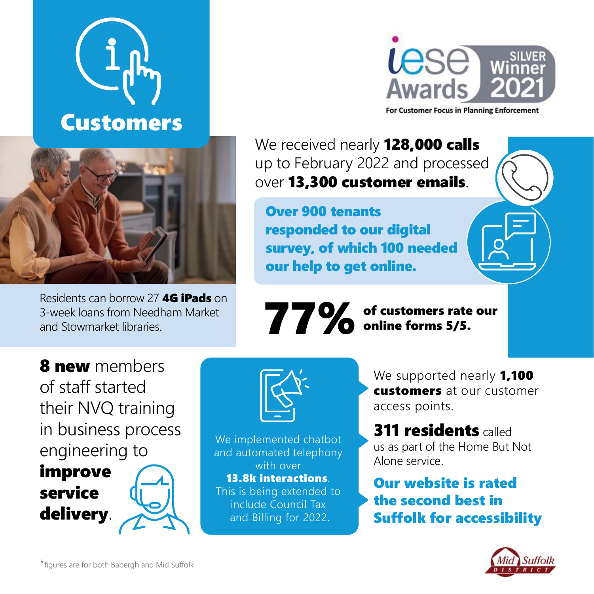



Residents can borrow 27 **4G iPads** on 3-week loans from Needham Market and Stowmarket libraries.

**Lese Awards** 

For Customer Focus in Planning Enforcement

We received nearly **128,000 calls** up to February 2022 and processed over 13,300 customer emails.

Over 900 tenants responded to our digital survey, of which 100 needed our help to get online.

77%

of customers rate our online forms 5/5.

8 new members of staff started their NVQ training in business process engineering to

improve service delivery.



We implemented chatbot and automated telephony with over 13.8k interactions. This is being extended to include Council Tax and Billing for 2022.

We supported nearly **1,100** customers at our customer access points.

**311 residents called** us as part of the Home But Not Alone service.

Our website is rated the second best in Suffolk for accessibility

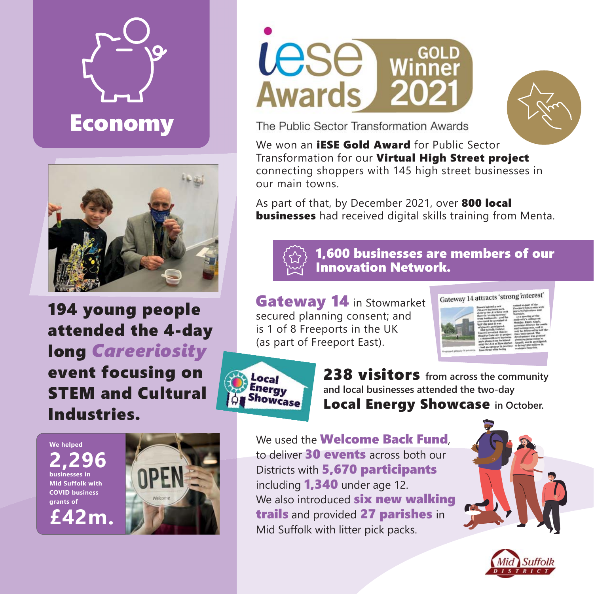



194 young people attended the 4-day long *Careeriosity* event focusing on STEM and Cultural Industries.

**Lese Winner Awards** 202



The Public Sector Transformation Awards

We won an **IESE Gold Award** for Public Sector Transformation for our Virtual High Street project connecting shoppers with 145 high street businesses in our main towns.

As part of that, by December 2021, over 800 local **businesses** had received digital skills training from Menta.



1,600 businesses are members of our Innovation Network.

Gateway 14 in Stowmarket secured planning consent; and is 1 of 8 Freeports in the UK (as part of Freeport East).





238 visitors **from across the community and local businesses attended the two-day**  Local Energy Showcase **in October.**

**We helped 2,296 businesses in Mid Suffolk with COVID business grants of £42m.**



We used the **Welcome Back Fund** to deliver 30 events across both our Districts with 5,670 participants including 1,340 under age 12. We also introduced **six new walking** trails and provided 27 parishes in Mid Suffolk with litter pick packs.



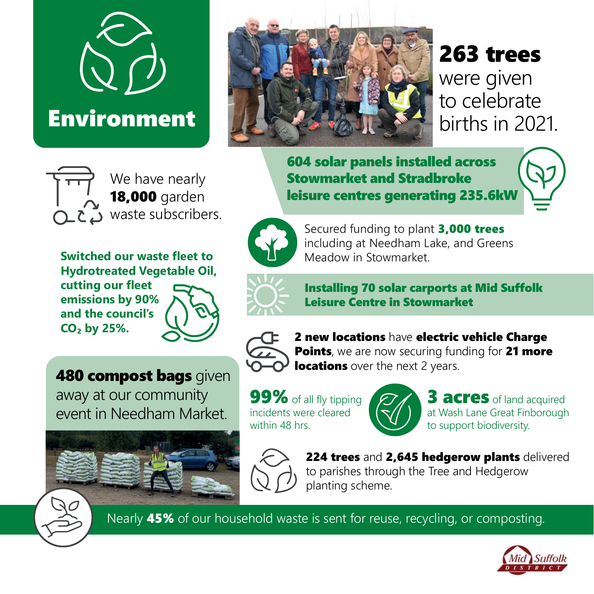

## **Environment**



## 263 trees

were given to celebrate births in 2021.

604 solar panels installed across Stowmarket and Stradbroke leisure centres generating 235.6kW



Secured funding to plant 3.000 trees including at Needham Lake, and Greens Meadow in Stowmarket.



Installing 70 solar carports at Mid Suffolk Leisure Centre in Stowmarket



2 new locations have electric vehicle Charge Points, we are now securing funding for 21 more **locations** over the next 2 years.

99% of all fly tipping incidents were cleared within 48 hrs.



**3 acres** of land acquired at Wash Lane Great Finborough to support biodiversity.



224 trees and 2,645 hedgerow plants delivered to parishes through the Tree and Hedgerow planting scheme.

Nearly **45%** of our household waste is sent for reuse, recycling, or composting.



We have nearly 18,000 garden  $\sum$  waste subscribers.

**Switched our waste fleet to Hydrotreated Vegetable Oil, cutting our fleet emissions by 90% and the council's CO₂ by 25%.**

**480 compost bags** given away at our community event in Needham Market.

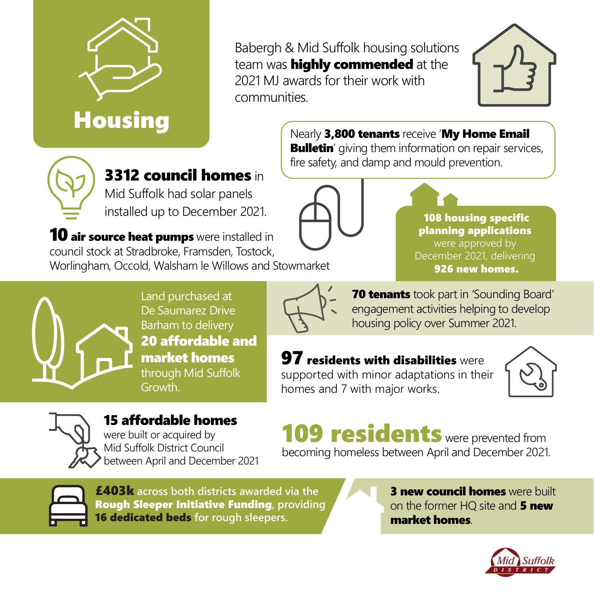

**Housing** 

Babergh & Mid Suffolk housing solutions team was **highly commended** at the 2021 MJ awards for their work with communities.



Nearly 3,800 tenants receive 'My Home Email

**Bulletin'** giving them information on repair services, fire safety, and damp and mould prevention.



**10 air source heat pumps** were installed in council stock at Stradbroke, Framsden, Tostock, Worlingham, Occold, Walsham le Willows and Stowmarket



108 housing specific planning applications were approved by December 2021, delivering 926 new homes.



Land purchased at De Saumarez Drive Barham to delivery 20 affordable and market homes through Mid Suffolk Growth.



**70 tenants** took part in 'Sounding Board' engagement activities helping to develop housing policy over Summer 2021.

#### **97 residents with disabilities** were

supported with minor adaptations in their homes and 7 with major works.





15 affordable homes were built or acquired by Mid Suffolk District Council between April and December 2021

109 residents were prevented from becoming homeless between April and December 2021.



£403k **across both districts awarded via the** Rough Sleeper Initiative Funding**, providing**  16 dedicated beds **for rough sleepers.**

**3 new council homes** were built on the former HQ site and 5 new market homes.